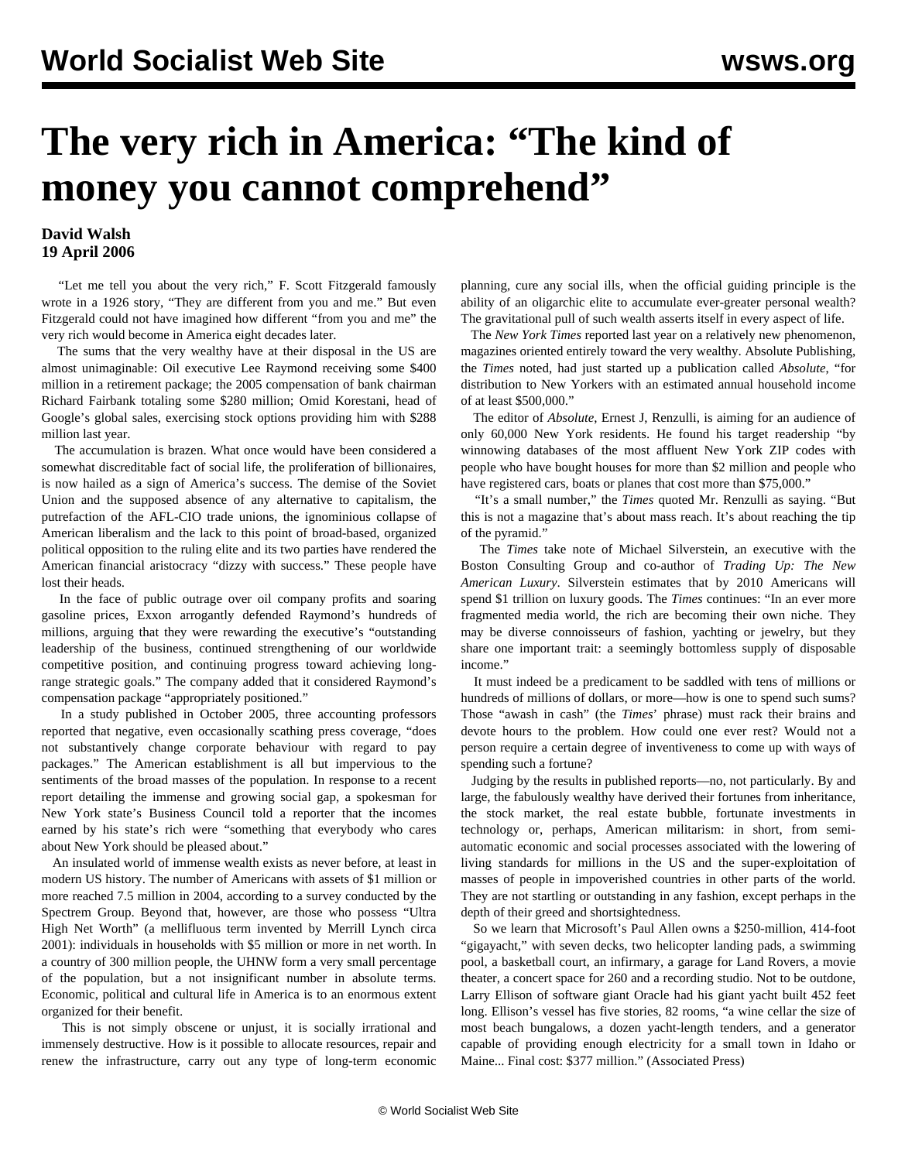## **The very rich in America: "The kind of money you cannot comprehend"**

## **David Walsh 19 April 2006**

 "Let me tell you about the very rich," F. Scott Fitzgerald famously wrote in a 1926 story, "They are different from you and me." But even Fitzgerald could not have imagined how different "from you and me" the very rich would become in America eight decades later.

 The sums that the very wealthy have at their disposal in the US are almost unimaginable: Oil executive Lee Raymond receiving some \$400 million in a retirement package; the 2005 compensation of bank chairman Richard Fairbank totaling some \$280 million; Omid Korestani, head of Google's global sales, exercising stock options providing him with \$288 million last year.

 The accumulation is brazen. What once would have been considered a somewhat discreditable fact of social life, the proliferation of billionaires, is now hailed as a sign of America's success. The demise of the Soviet Union and the supposed absence of any alternative to capitalism, the putrefaction of the AFL-CIO trade unions, the ignominious collapse of American liberalism and the lack to this point of broad-based, organized political opposition to the ruling elite and its two parties have rendered the American financial aristocracy "dizzy with success." These people have lost their heads.

 In the face of public outrage over oil company profits and soaring gasoline prices, Exxon arrogantly defended Raymond's hundreds of millions, arguing that they were rewarding the executive's "outstanding leadership of the business, continued strengthening of our worldwide competitive position, and continuing progress toward achieving longrange strategic goals." The company added that it considered Raymond's compensation package "appropriately positioned."

 In a study published in October 2005, three accounting professors reported that negative, even occasionally scathing press coverage, "does not substantively change corporate behaviour with regard to pay packages." The American establishment is all but impervious to the sentiments of the broad masses of the population. In response to a recent report detailing the immense and growing social gap, a spokesman for New York state's Business Council told a reporter that the incomes earned by his state's rich were "something that everybody who cares about New York should be pleased about."

 An insulated world of immense wealth exists as never before, at least in modern US history. The number of Americans with assets of \$1 million or more reached 7.5 million in 2004, according to a survey conducted by the Spectrem Group. Beyond that, however, are those who possess "Ultra High Net Worth" (a mellifluous term invented by Merrill Lynch circa 2001): individuals in households with \$5 million or more in net worth. In a country of 300 million people, the UHNW form a very small percentage of the population, but a not insignificant number in absolute terms. Economic, political and cultural life in America is to an enormous extent organized for their benefit.

 This is not simply obscene or unjust, it is socially irrational and immensely destructive. How is it possible to allocate resources, repair and renew the infrastructure, carry out any type of long-term economic planning, cure any social ills, when the official guiding principle is the ability of an oligarchic elite to accumulate ever-greater personal wealth? The gravitational pull of such wealth asserts itself in every aspect of life.

 The *New York Times* reported last year on a relatively new phenomenon, magazines oriented entirely toward the very wealthy. Absolute Publishing, the *Times* noted, had just started up a publication called *Absolute*, "for distribution to New Yorkers with an estimated annual household income of at least \$500,000."

 The editor of *Absolute*, Ernest J, Renzulli, is aiming for an audience of only 60,000 New York residents. He found his target readership "by winnowing databases of the most affluent New York ZIP codes with people who have bought houses for more than \$2 million and people who have registered cars, boats or planes that cost more than \$75,000."

 "It's a small number," the *Times* quoted Mr. Renzulli as saying. "But this is not a magazine that's about mass reach. It's about reaching the tip of the pyramid."

 The *Times* take note of Michael Silverstein, an executive with the Boston Consulting Group and co-author of *Trading Up: The New American Luxury*. Silverstein estimates that by 2010 Americans will spend \$1 trillion on luxury goods. The *Times* continues: "In an ever more fragmented media world, the rich are becoming their own niche. They may be diverse connoisseurs of fashion, yachting or jewelry, but they share one important trait: a seemingly bottomless supply of disposable income."

 It must indeed be a predicament to be saddled with tens of millions or hundreds of millions of dollars, or more—how is one to spend such sums? Those "awash in cash" (the *Times*' phrase) must rack their brains and devote hours to the problem. How could one ever rest? Would not a person require a certain degree of inventiveness to come up with ways of spending such a fortune?

 Judging by the results in published reports—no, not particularly. By and large, the fabulously wealthy have derived their fortunes from inheritance, the stock market, the real estate bubble, fortunate investments in technology or, perhaps, American militarism: in short, from semiautomatic economic and social processes associated with the lowering of living standards for millions in the US and the super-exploitation of masses of people in impoverished countries in other parts of the world. They are not startling or outstanding in any fashion, except perhaps in the depth of their greed and shortsightedness.

 So we learn that Microsoft's Paul Allen owns a \$250-million, 414-foot "gigayacht," with seven decks, two helicopter landing pads, a swimming pool, a basketball court, an infirmary, a garage for Land Rovers, a movie theater, a concert space for 260 and a recording studio. Not to be outdone, Larry Ellison of software giant Oracle had his giant yacht built 452 feet long. Ellison's vessel has five stories, 82 rooms, "a wine cellar the size of most beach bungalows, a dozen yacht-length tenders, and a generator capable of providing enough electricity for a small town in Idaho or Maine... Final cost: \$377 million." (Associated Press)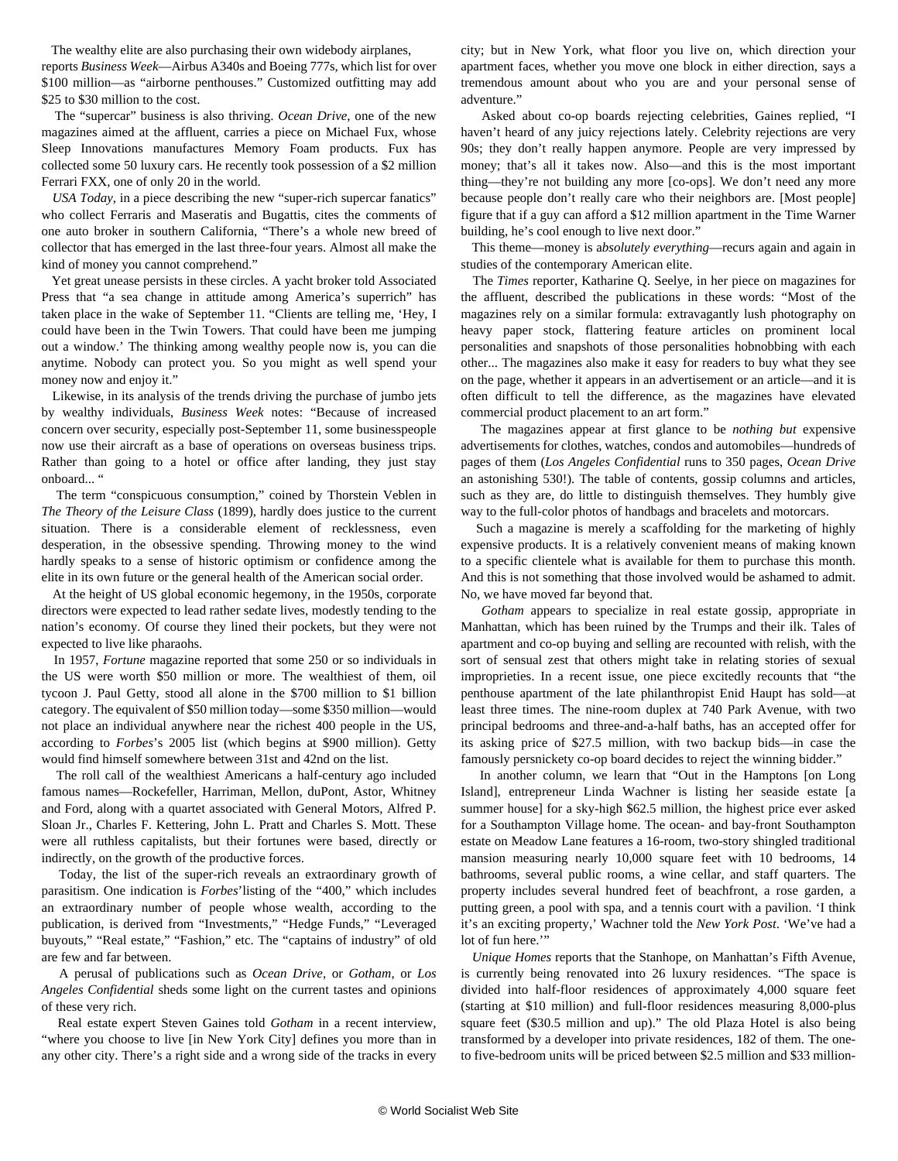The wealthy elite are also purchasing their own widebody airplanes,

reports *Business Week*—Airbus A340s and Boeing 777s, which list for over \$100 million—as "airborne penthouses." Customized outfitting may add \$25 to \$30 million to the cost.

 The "supercar" business is also thriving. *Ocean Drive*, one of the new magazines aimed at the affluent, carries a piece on Michael Fux, whose Sleep Innovations manufactures Memory Foam products. Fux has collected some 50 luxury cars. He recently took possession of a \$2 million Ferrari FXX, one of only 20 in the world.

 *USA Today*, in a piece describing the new "super-rich supercar fanatics" who collect Ferraris and Maseratis and Bugattis, cites the comments of one auto broker in southern California, "There's a whole new breed of collector that has emerged in the last three-four years. Almost all make the kind of money you cannot comprehend."

 Yet great unease persists in these circles. A yacht broker told Associated Press that "a sea change in attitude among America's superrich" has taken place in the wake of September 11. "Clients are telling me, 'Hey, I could have been in the Twin Towers. That could have been me jumping out a window.' The thinking among wealthy people now is, you can die anytime. Nobody can protect you. So you might as well spend your money now and enjoy it."

 Likewise, in its analysis of the trends driving the purchase of jumbo jets by wealthy individuals, *Business Week* notes: "Because of increased concern over security, especially post-September 11, some businesspeople now use their aircraft as a base of operations on overseas business trips. Rather than going to a hotel or office after landing, they just stay onboard... "

 The term "conspicuous consumption," coined by Thorstein Veblen in *The Theory of the Leisure Class* (1899), hardly does justice to the current situation. There is a considerable element of recklessness, even desperation, in the obsessive spending. Throwing money to the wind hardly speaks to a sense of historic optimism or confidence among the elite in its own future or the general health of the American social order.

 At the height of US global economic hegemony, in the 1950s, corporate directors were expected to lead rather sedate lives, modestly tending to the nation's economy. Of course they lined their pockets, but they were not expected to live like pharaohs.

 In 1957, *Fortune* magazine reported that some 250 or so individuals in the US were worth \$50 million or more. The wealthiest of them, oil tycoon J. Paul Getty, stood all alone in the \$700 million to \$1 billion category. The equivalent of \$50 million today—some \$350 million—would not place an individual anywhere near the richest 400 people in the US, according to *Forbes*'s 2005 list (which begins at \$900 million). Getty would find himself somewhere between 31st and 42nd on the list.

 The roll call of the wealthiest Americans a half-century ago included famous names—Rockefeller, Harriman, Mellon, duPont, Astor, Whitney and Ford, along with a quartet associated with General Motors, Alfred P. Sloan Jr., Charles F. Kettering, John L. Pratt and Charles S. Mott. These were all ruthless capitalists, but their fortunes were based, directly or indirectly, on the growth of the productive forces.

 Today, the list of the super-rich reveals an extraordinary growth of parasitism. One indication is *Forbes*'listing of the "400," which includes an extraordinary number of people whose wealth, according to the publication, is derived from "Investments," "Hedge Funds," "Leveraged buyouts," "Real estate," "Fashion," etc. The "captains of industry" of old are few and far between.

 A perusal of publications such as *Ocean Drive*, or *Gotham*, or *Los Angeles Confidential* sheds some light on the current tastes and opinions of these very rich.

 Real estate expert Steven Gaines told *Gotham* in a recent interview, "where you choose to live [in New York City] defines you more than in any other city. There's a right side and a wrong side of the tracks in every city; but in New York, what floor you live on, which direction your apartment faces, whether you move one block in either direction, says a tremendous amount about who you are and your personal sense of adventure."

 Asked about co-op boards rejecting celebrities, Gaines replied, "I haven't heard of any juicy rejections lately. Celebrity rejections are very 90s; they don't really happen anymore. People are very impressed by money; that's all it takes now. Also—and this is the most important thing—they're not building any more [co-ops]. We don't need any more because people don't really care who their neighbors are. [Most people] figure that if a guy can afford a \$12 million apartment in the Time Warner building, he's cool enough to live next door."

 This theme—money is a*bsolutely everything*—recurs again and again in studies of the contemporary American elite.

 The *Times* reporter, Katharine Q. Seelye, in her piece on magazines for the affluent, described the publications in these words: "Most of the magazines rely on a similar formula: extravagantly lush photography on heavy paper stock, flattering feature articles on prominent local personalities and snapshots of those personalities hobnobbing with each other... The magazines also make it easy for readers to buy what they see on the page, whether it appears in an advertisement or an article—and it is often difficult to tell the difference, as the magazines have elevated commercial product placement to an art form."

 The magazines appear at first glance to be *nothing but* expensive advertisements for clothes, watches, condos and automobiles—hundreds of pages of them (*Los Angeles Confidential* runs to 350 pages, *Ocean Drive* an astonishing 530!). The table of contents, gossip columns and articles, such as they are, do little to distinguish themselves. They humbly give way to the full-color photos of handbags and bracelets and motorcars.

 Such a magazine is merely a scaffolding for the marketing of highly expensive products. It is a relatively convenient means of making known to a specific clientele what is available for them to purchase this month. And this is not something that those involved would be ashamed to admit. No, we have moved far beyond that.

 *Gotham* appears to specialize in real estate gossip, appropriate in Manhattan, which has been ruined by the Trumps and their ilk. Tales of apartment and co-op buying and selling are recounted with relish, with the sort of sensual zest that others might take in relating stories of sexual improprieties. In a recent issue, one piece excitedly recounts that "the penthouse apartment of the late philanthropist Enid Haupt has sold—at least three times. The nine-room duplex at 740 Park Avenue, with two principal bedrooms and three-and-a-half baths, has an accepted offer for its asking price of \$27.5 million, with two backup bids—in case the famously persnickety co-op board decides to reject the winning bidder."

 In another column, we learn that "Out in the Hamptons [on Long Island], entrepreneur Linda Wachner is listing her seaside estate [a summer house] for a sky-high \$62.5 million, the highest price ever asked for a Southampton Village home. The ocean- and bay-front Southampton estate on Meadow Lane features a 16-room, two-story shingled traditional mansion measuring nearly 10,000 square feet with 10 bedrooms, 14 bathrooms, several public rooms, a wine cellar, and staff quarters. The property includes several hundred feet of beachfront, a rose garden, a putting green, a pool with spa, and a tennis court with a pavilion. 'I think it's an exciting property,' Wachner told the *New York Post*. 'We've had a lot of fun here."

 *Unique Homes* reports that the Stanhope, on Manhattan's Fifth Avenue, is currently being renovated into 26 luxury residences. "The space is divided into half-floor residences of approximately 4,000 square feet (starting at \$10 million) and full-floor residences measuring 8,000-plus square feet (\$30.5 million and up)." The old Plaza Hotel is also being transformed by a developer into private residences, 182 of them. The oneto five-bedroom units will be priced between \$2.5 million and \$33 million